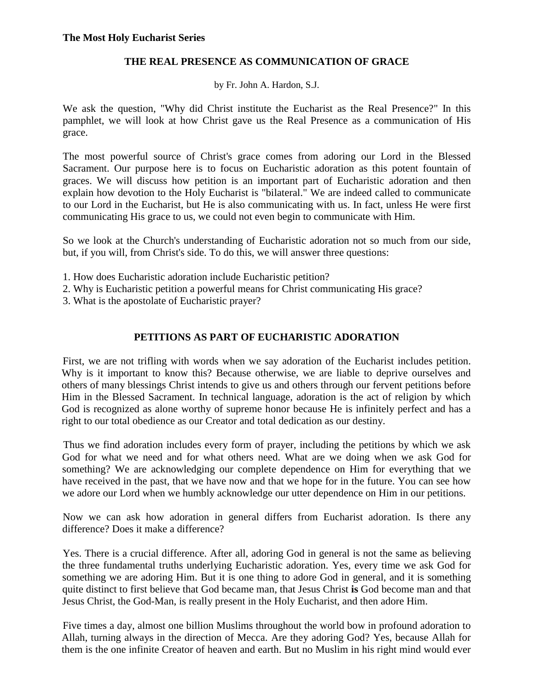#### **The Most Holy Eucharist Series**

## **THE REAL PRESENCE AS COMMUNICATION OF GRACE**

by Fr. John A. Hardon, S.J.

We ask the question, "Why did Christ institute the Eucharist as the Real Presence?" In this pamphlet, we will look at how Christ gave us the Real Presence as a communication of His grace.

The most powerful source of Christ's grace comes from adoring our Lord in the Blessed Sacrament. Our purpose here is to focus on Eucharistic adoration as this potent fountain of graces. We will discuss how petition is an important part of Eucharistic adoration and then explain how devotion to the Holy Eucharist is "bilateral." We are indeed called to communicate to our Lord in the Eucharist, but He is also communicating with us. In fact, unless He were first communicating His grace to us, we could not even begin to communicate with Him.

So we look at the Church's understanding of Eucharistic adoration not so much from our side, but, if you will, from Christ's side. To do this, we will answer three questions:

- 1. How does Eucharistic adoration include Eucharistic petition?
- 2. Why is Eucharistic petition a powerful means for Christ communicating His grace?
- 3. What is the apostolate of Eucharistic prayer?

## **PETITIONS AS PART OF EUCHARISTIC ADORATION**

First, we are not trifling with words when we say adoration of the Eucharist includes petition. Why is it important to know this? Because otherwise, we are liable to deprive ourselves and others of many blessings Christ intends to give us and others through our fervent petitions before Him in the Blessed Sacrament. In technical language, adoration is the act of religion by which God is recognized as alone worthy of supreme honor because He is infinitely perfect and has a right to our total obedience as our Creator and total dedication as our destiny.

Thus we find adoration includes every form of prayer, including the petitions by which we ask God for what we need and for what others need. What are we doing when we ask God for something? We are acknowledging our complete dependence on Him for everything that we have received in the past, that we have now and that we hope for in the future. You can see how we adore our Lord when we humbly acknowledge our utter dependence on Him in our petitions.

Now we can ask how adoration in general differs from Eucharist adoration. Is there any difference? Does it make a difference?

Yes. There is a crucial difference. After all, adoring God in general is not the same as believing the three fundamental truths underlying Eucharistic adoration. Yes, every time we ask God for something we are adoring Him. But it is one thing to adore God in general, and it is something quite distinct to first believe that God became man, that Jesus Christ **is** God become man and that Jesus Christ, the God-Man, is really present in the Holy Eucharist, and then adore Him.

Five times a day, almost one billion Muslims throughout the world bow in profound adoration to Allah, turning always in the direction of Mecca. Are they adoring God? Yes, because Allah for them is the one infinite Creator of heaven and earth. But no Muslim in his right mind would ever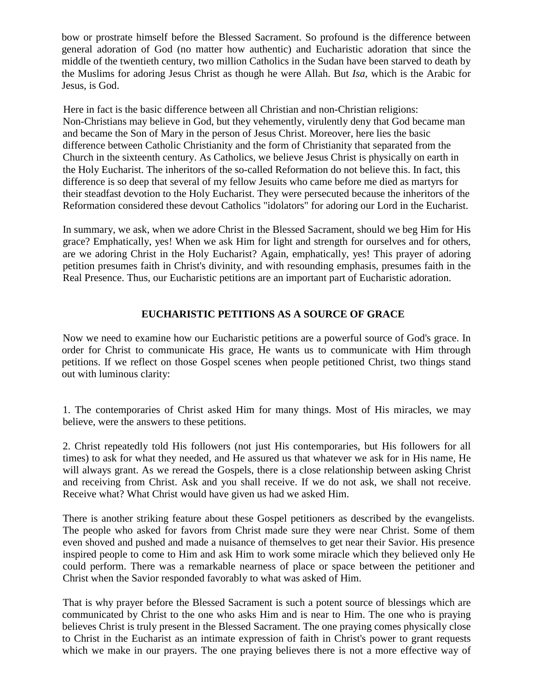bow or prostrate himself before the Blessed Sacrament. So profound is the difference between general adoration of God (no matter how authentic) and Eucharistic adoration that since the middle of the twentieth century, two million Catholics in the Sudan have been starved to death by the Muslims for adoring Jesus Christ as though he were Allah. But *Isa*, which is the Arabic for Jesus, is God.

Here in fact is the basic difference between all Christian and non-Christian religions: Non-Christians may believe in God, but they vehemently, virulently deny that God became man and became the Son of Mary in the person of Jesus Christ. Moreover, here lies the basic difference between Catholic Christianity and the form of Christianity that separated from the Church in the sixteenth century. As Catholics, we believe Jesus Christ is physically on earth in the Holy Eucharist. The inheritors of the so-called Reformation do not believe this. In fact, this difference is so deep that several of my fellow Jesuits who came before me died as martyrs for their steadfast devotion to the Holy Eucharist. They were persecuted because the inheritors of the Reformation considered these devout Catholics "idolators" for adoring our Lord in the Eucharist.

In summary, we ask, when we adore Christ in the Blessed Sacrament, should we beg Him for His grace? Emphatically, yes! When we ask Him for light and strength for ourselves and for others, are we adoring Christ in the Holy Eucharist? Again, emphatically, yes! This prayer of adoring petition presumes faith in Christ's divinity, and with resounding emphasis, presumes faith in the Real Presence. Thus, our Eucharistic petitions are an important part of Eucharistic adoration.

## **EUCHARISTIC PETITIONS AS A SOURCE OF GRACE**

Now we need to examine how our Eucharistic petitions are a powerful source of God's grace. In order for Christ to communicate His grace, He wants us to communicate with Him through petitions. If we reflect on those Gospel scenes when people petitioned Christ, two things stand out with luminous clarity:

1. The contemporaries of Christ asked Him for many things. Most of His miracles, we may believe, were the answers to these petitions.

2. Christ repeatedly told His followers (not just His contemporaries, but His followers for all times) to ask for what they needed, and He assured us that whatever we ask for in His name, He will always grant. As we reread the Gospels, there is a close relationship between asking Christ and receiving from Christ. Ask and you shall receive. If we do not ask, we shall not receive. Receive what? What Christ would have given us had we asked Him.

There is another striking feature about these Gospel petitioners as described by the evangelists. The people who asked for favors from Christ made sure they were near Christ. Some of them even shoved and pushed and made a nuisance of themselves to get near their Savior. His presence inspired people to come to Him and ask Him to work some miracle which they believed only He could perform. There was a remarkable nearness of place or space between the petitioner and Christ when the Savior responded favorably to what was asked of Him.

That is why prayer before the Blessed Sacrament is such a potent source of blessings which are communicated by Christ to the one who asks Him and is near to Him. The one who is praying believes Christ is truly present in the Blessed Sacrament. The one praying comes physically close to Christ in the Eucharist as an intimate expression of faith in Christ's power to grant requests which we make in our prayers. The one praying believes there is not a more effective way of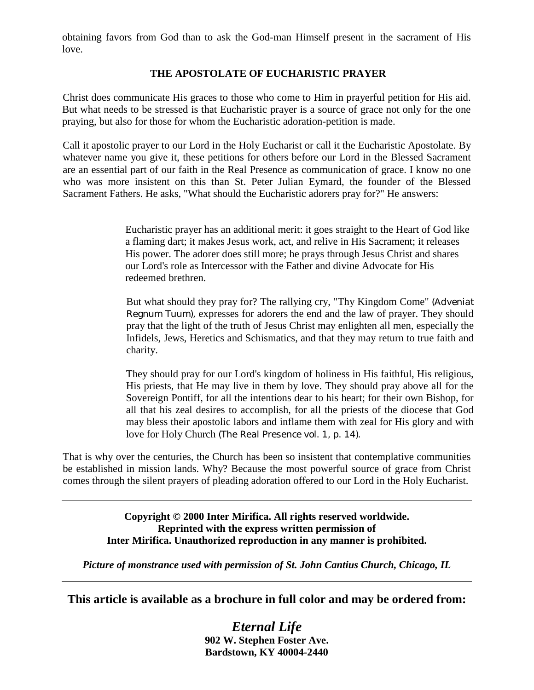obtaining favors from God than to ask the God-man Himself present in the sacrament of His love.

# **THE APOSTOLATE OF EUCHARISTIC PRAYER**

Christ does communicate His graces to those who come to Him in prayerful petition for His aid. But what needs to be stressed is that Eucharistic prayer is a source of grace not only for the one praying, but also for those for whom the Eucharistic adoration-petition is made.

Call it apostolic prayer to our Lord in the Holy Eucharist or call it the Eucharistic Apostolate. By whatever name you give it, these petitions for others before our Lord in the Blessed Sacrament are an essential part of our faith in the Real Presence as communication of grace. I know no one who was more insistent on this than St. Peter Julian Eymard, the founder of the Blessed Sacrament Fathers. He asks, "What should the Eucharistic adorers pray for?" He answers:

> Eucharistic prayer has an additional merit: it goes straight to the Heart of God like a flaming dart; it makes Jesus work, act, and relive in His Sacrament; it releases His power. The adorer does still more; he prays through Jesus Christ and shares our Lord's role as Intercessor with the Father and divine Advocate for His redeemed brethren.

But what should they pray for? The rallying cry, "Thy Kingdom Come" *(Adveniat Regnum Tuum),* expresses for adorers the end and the law of prayer. They should pray that the light of the truth of Jesus Christ may enlighten all men, especially the Infidels, Jews, Heretics and Schismatics, and that they may return to true faith and charity.

They should pray for our Lord's kingdom of holiness in His faithful, His religious, His priests, that He may live in them by love. They should pray above all for the Sovereign Pontiff, for all the intentions dear to his heart; for their own Bishop, for all that his zeal desires to accomplish, for all the priests of the diocese that God may bless their apostolic labors and inflame them with zeal for His glory and with love for Holy Church *(The Real Presence vol. 1, p. 14).* 

That is why over the centuries, the Church has been so insistent that contemplative communities be established in mission lands. Why? Because the most powerful source of grace from Christ comes through the silent prayers of pleading adoration offered to our Lord in the Holy Eucharist.

> **Copyright © 2000 Inter Mirifica. All rights reserved worldwide. Reprinted with the express written permission of Inter Mirifica. Unauthorized reproduction in any manner is prohibited.**

*Picture of monstrance used with permission of St. John Cantius Church, Chicago, IL* 

**This article is available as a brochure in full color and may be ordered from:** 

*Eternal Life*  **902 W. Stephen Foster Ave. Bardstown, KY 40004-2440**